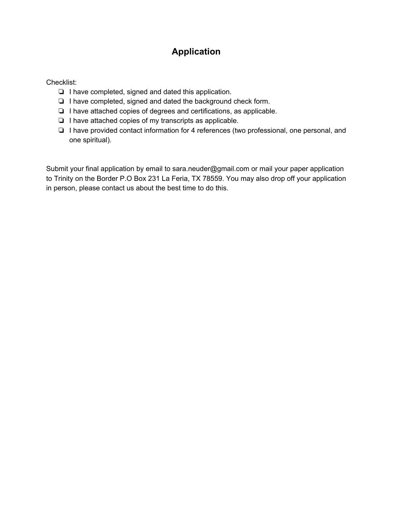## **Application**

Checklist:

- ❏ I have completed, signed and dated this application.
- ❏ I have completed, signed and dated the background check form.
- ❏ I have attached copies of degrees and certifications, as applicable.
- ❏ I have attached copies of my transcripts as applicable.
- ❏ I have provided contact information for 4 references (two professional, one personal, and one spiritual).

Submit your final application by email to sara.neuder@gmail.com or mail your paper application to Trinity on the Border P.O Box 231 La Feria, TX 78559. You may also drop off your application in person, please contact us about the best time to do this.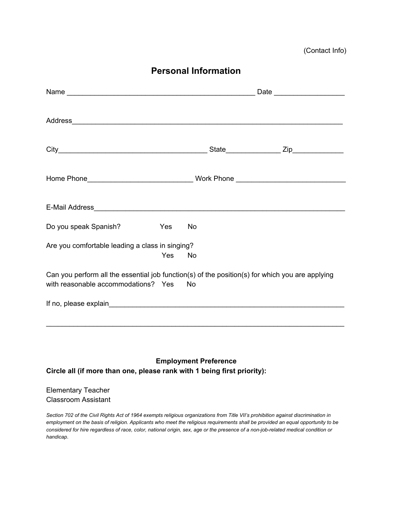**Personal Information**

| Do you speak Spanish?                                                                                                                  | Yes | <b>No</b> |  |  |  |
|----------------------------------------------------------------------------------------------------------------------------------------|-----|-----------|--|--|--|
| Are you comfortable leading a class in singing?                                                                                        | Yes | No        |  |  |  |
| Can you perform all the essential job function(s) of the position(s) for which you are applying<br>with reasonable accommodations? Yes |     | <b>No</b> |  |  |  |
|                                                                                                                                        |     |           |  |  |  |
|                                                                                                                                        |     |           |  |  |  |

**Employment Preference Circle all (if more than one, please rank with 1 being first priority):**

#### Elementary Teacher Classroom Assistant

Section 702 of the Civil Rights Act of 1964 exempts religious organizations from Title VII's prohibition against discrimination in employment on the basis of religion. Applicants who meet the religious requirements shall be provided an equal opportunity to be considered for hire regardless of race, color, national origin, sex, age or the presence of a non-job-related medical condition or *handicap*.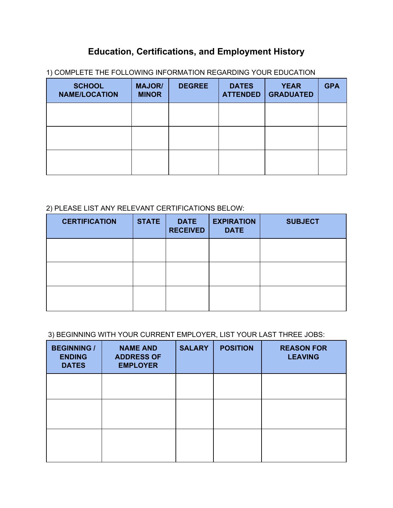## **Education, Certifications, and Employment History**

| <b>SCHOOL</b><br><b>NAME/LOCATION</b> | <b>MAJOR/</b><br><b>MINOR</b> | <b>DEGREE</b> | <b>DATES</b><br><b>ATTENDED</b> | <b>YEAR</b><br><b>GRADUATED</b> | <b>GPA</b> |
|---------------------------------------|-------------------------------|---------------|---------------------------------|---------------------------------|------------|
|                                       |                               |               |                                 |                                 |            |
|                                       |                               |               |                                 |                                 |            |
|                                       |                               |               |                                 |                                 |            |

1) COMPLETE THE FOLLOWING INFORMATION REGARDING YOUR EDUCATION

#### 2) PLEASE LIST ANY RELEVANT CERTIFICATIONS BELOW:

| <b>CERTIFICATION</b> | <b>STATE</b> | <b>DATE</b><br><b>RECEIVED</b> | <b>EXPIRATION</b><br><b>DATE</b> | <b>SUBJECT</b> |
|----------------------|--------------|--------------------------------|----------------------------------|----------------|
|                      |              |                                |                                  |                |
|                      |              |                                |                                  |                |
|                      |              |                                |                                  |                |

#### 3) BEGINNING WITH YOUR CURRENT EMPLOYER, LIST YOUR LAST THREE JOBS:

| <b>BEGINNING /</b><br><b>ENDING</b><br><b>DATES</b> | <b>NAME AND</b><br><b>ADDRESS OF</b><br><b>EMPLOYER</b> | <b>SALARY</b> | <b>POSITION</b> | <b>REASON FOR</b><br><b>LEAVING</b> |
|-----------------------------------------------------|---------------------------------------------------------|---------------|-----------------|-------------------------------------|
|                                                     |                                                         |               |                 |                                     |
|                                                     |                                                         |               |                 |                                     |
|                                                     |                                                         |               |                 |                                     |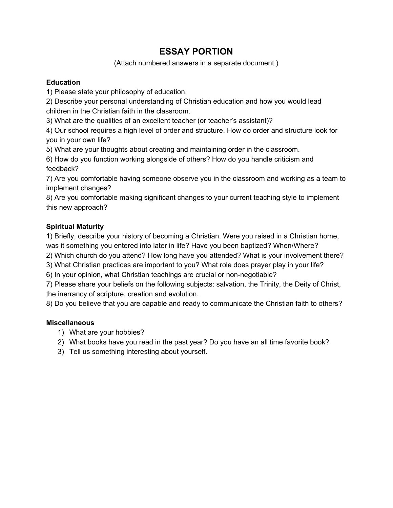## **ESSAY PORTION**

(Attach numbered answers in a separate document.)

#### **Education**

1) Please state your philosophy of education.

2) Describe your personal understanding of Christian education and how you would lead children in the Christian faith in the classroom.

3) What are the qualities of an excellent teacher (or teacher's assistant)?

4) Our school requires a high level of order and structure. How do order and structure look for you in your own life?

5) What are your thoughts about creating and maintaining order in the classroom.

6) How do you function working alongside of others? How do you handle criticism and feedback?

7) Are you comfortable having someone observe you in the classroom and working as a team to implement changes?

8) Are you comfortable making significant changes to your current teaching style to implement this new approach?

#### **Spiritual Maturity**

1) Briefly, describe your history of becoming a Christian. Were you raised in a Christian home, was it something you entered into later in life? Have you been baptized? When/Where?

2) Which church do you attend? How long have you attended? What is your involvement there?

3) What Christian practices are important to you? What role does prayer play in your life?

6) In your opinion, what Christian teachings are crucial or non-negotiable?

7) Please share your beliefs on the following subjects: salvation, the Trinity, the Deity of Christ, the inerrancy of scripture, creation and evolution.

8) Do you believe that you are capable and ready to communicate the Christian faith to others?

#### **Miscellaneous**

- 1) What are your hobbies?
- 2) What books have you read in the past year? Do you have an all time favorite book?
- 3) Tell us something interesting about yourself.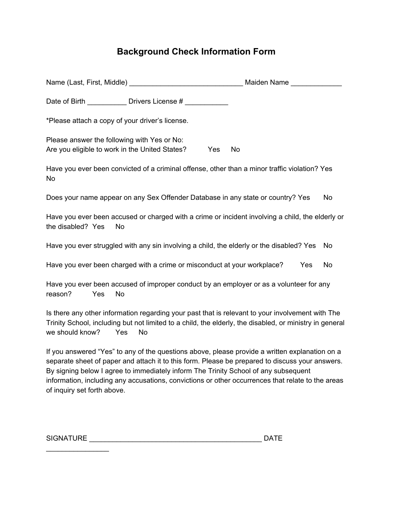# **Background Check Information Form**

| Name (Last, First, Middle) Maiden Name                                                                                                                                                                                                                                                                                                                                                                                       |                  |
|------------------------------------------------------------------------------------------------------------------------------------------------------------------------------------------------------------------------------------------------------------------------------------------------------------------------------------------------------------------------------------------------------------------------------|------------------|
| Date of Birth ____________ Drivers License # __________                                                                                                                                                                                                                                                                                                                                                                      |                  |
| *Please attach a copy of your driver's license.                                                                                                                                                                                                                                                                                                                                                                              |                  |
| Please answer the following with Yes or No:<br>Are you eligible to work in the United States?<br>Yes                                                                                                                                                                                                                                                                                                                         | <b>No</b>        |
| Have you ever been convicted of a criminal offense, other than a minor traffic violation? Yes<br>No                                                                                                                                                                                                                                                                                                                          |                  |
| Does your name appear on any Sex Offender Database in any state or country? Yes                                                                                                                                                                                                                                                                                                                                              | <b>No</b>        |
| Have you ever been accused or charged with a crime or incident involving a child, the elderly or<br>the disabled? Yes<br><b>No</b>                                                                                                                                                                                                                                                                                           |                  |
| Have you ever struggled with any sin involving a child, the elderly or the disabled? Yes                                                                                                                                                                                                                                                                                                                                     | <b>No</b>        |
| Have you ever been charged with a crime or misconduct at your workplace?                                                                                                                                                                                                                                                                                                                                                     | <b>No</b><br>Yes |
| Have you ever been accused of improper conduct by an employer or as a volunteer for any<br>reason?<br>Yes<br>No                                                                                                                                                                                                                                                                                                              |                  |
| Is there any other information regarding your past that is relevant to your involvement with The<br>Trinity School, including but not limited to a child, the elderly, the disabled, or ministry in general<br>we should know?<br>Yes<br><b>No</b>                                                                                                                                                                           |                  |
| If you answered "Yes" to any of the questions above, please provide a written explanation on a<br>separate sheet of paper and attach it to this form. Please be prepared to discuss your answers.<br>By signing below I agree to immediately inform The Trinity School of any subsequent<br>information, including any accusations, convictions or other occurrences that relate to the areas<br>of inquiry set forth above. |                  |

| <b>SIGNATURE</b> |  |
|------------------|--|
|                  |  |

 $\mathcal{L}_\text{max}$  . The set of the set of the set of the set of the set of the set of the set of the set of the set of the set of the set of the set of the set of the set of the set of the set of the set of the set of the set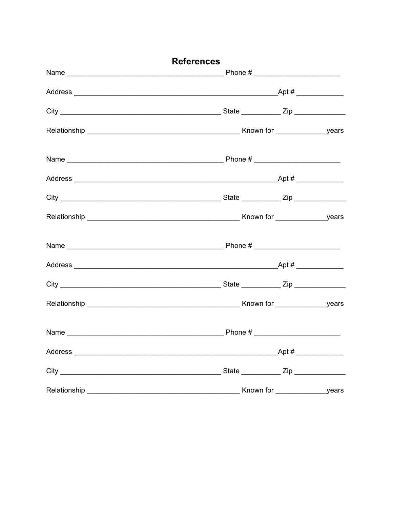| <b>References</b> |  |
|-------------------|--|
|                   |  |
|                   |  |
|                   |  |
|                   |  |
|                   |  |
|                   |  |
|                   |  |
|                   |  |
|                   |  |
|                   |  |
|                   |  |
|                   |  |
|                   |  |
|                   |  |
|                   |  |
|                   |  |